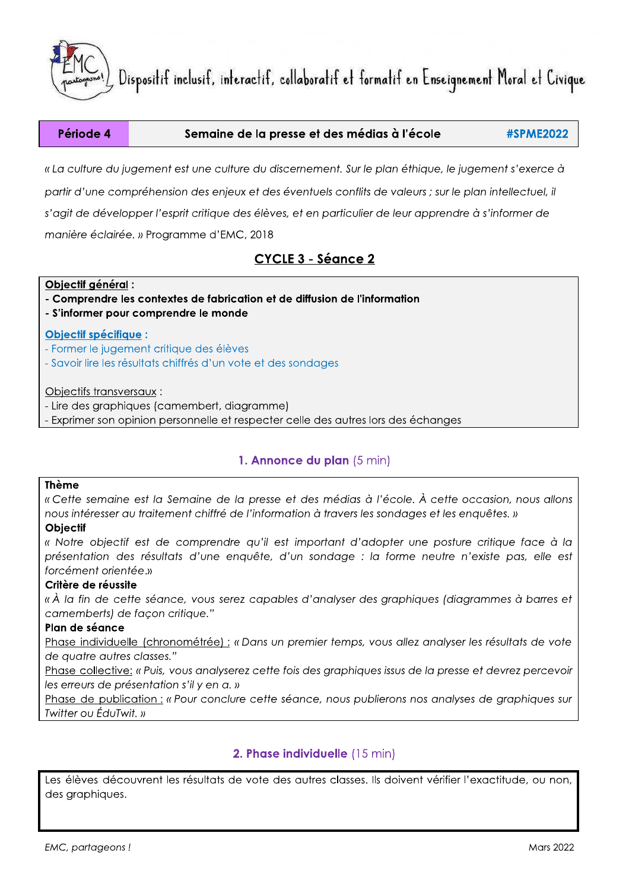

#### Période 4 Semaine de la presse et des médias à l'école **#SPME2022**

« La culture du jugement est une culture du discernement. Sur le plan éthique, le jugement s'exerce à partir d'une compréhension des enjeux et des éventuels conflits de valeurs ; sur le plan intellectuel, il s'agit de développer l'esprit critique des élèves, et en particulier de leur apprendre à s'informer de manière éclairée. » Programme d'EMC, 2018

# CYCLE 3 - Séance 2

#### Obiectif général :

- Comprendre les contextes de fabrication et de diffusion de l'information

- S'informer pour comprendre le monde

#### **Objectif spécifique:**

- Former le jugement critique des élèves
- Savoir lire les résultats chiffrés d'un vote et des sondages

Objectifs transversaux:

- Lire des graphiques (camembert, diagramme)

- Exprimer son opinion personnelle et respecter celle des autres lors des échanges

## 1. Annonce du plan (5 min)

### **Thème**

« Cette semaine est la Semaine de la presse et des médias à l'école. À cette occasion, nous allons nous intéresser au traitement chiffré de l'information à travers les sondages et les enquêtes. »

#### **Obiectif**

« Notre objectif est de comprendre qu'il est important d'adopter une posture critique face à la présentation des résultats d'une enquête, d'un sondage : la forme neutre n'existe pas, elle est forcément orientée.»

#### Critère de réussite

« À la fin de cette séance, vous serez capables d'analyser des graphiques (diagrammes à barres et camemberts) de façon critique."

#### Plan de séance

Phase individuelle (chronométrée) : « Dans un premier temps, vous allez analyser les résultats de vote de auatre autres classes."

Phase collective: « Puis, vous analyserez cette fois des graphiques issus de la presse et devrez percevoir les erreurs de présentation s'il y en a. »

Phase de publication : « Pour conclure cette séance, nous publierons nos analyses de graphiques sur Twitter ou ÉduTwit. »

## 2. Phase individuelle (15 min)

Les élèves découvrent les résultats de vote des autres classes. Ils doivent vérifier l'exactitude, ou non, des graphiques.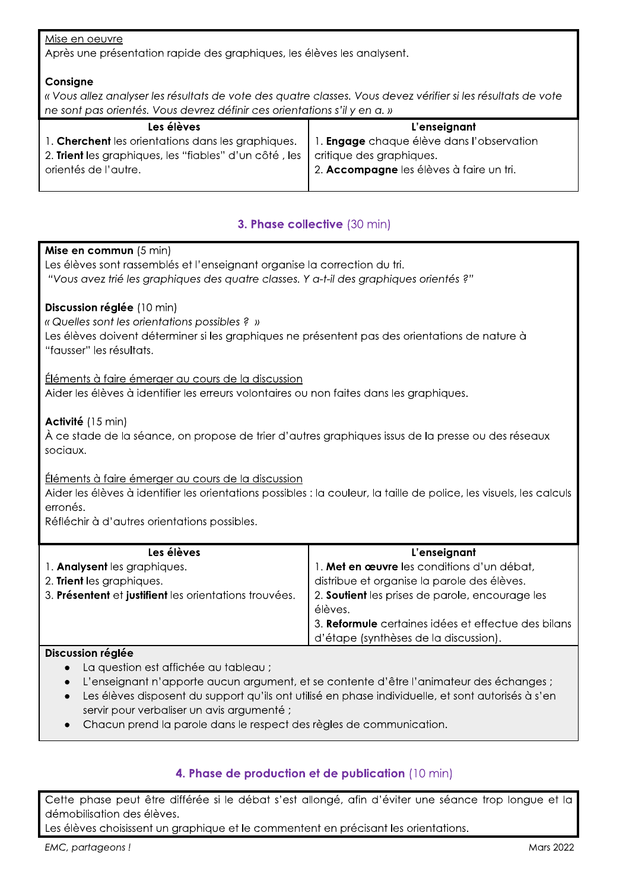### Mise en oeuvre

Après une présentation rapide des graphiques, les élèves les analysent.

## Consigne

« Vous allez analyser les résultats de vote des quatre classes. Vous devez vérifier si les résultats de vote ne sont pas orientés. Vous devrez définir ces orientations s'il y en a. »

| Les élèves                                             | L'enseignant                              |
|--------------------------------------------------------|-------------------------------------------|
| 1. Cherchent les orientations dans les graphiques.     | 1. Engage chaque élève dans l'observation |
| 2. Trient les graphiques, les "fiables" d'un côté, les | critique des graphiques.                  |
| orientés de l'autre.                                   | 2. Accompagne les élèves à faire un tri.  |
|                                                        |                                           |

# 3. Phase collective (30 min)

| <b>Mise en commun</b> $(5 \text{ min})$<br>Les élèves sont rassemblés et l'enseignant organise la correction du tri.<br>"Vous avez trié les graphiques des quatre classes. Y a-t-il des graphiques orientés ?"                         |                                                                                              |  |
|----------------------------------------------------------------------------------------------------------------------------------------------------------------------------------------------------------------------------------------|----------------------------------------------------------------------------------------------|--|
| Discussion réglée (10 min)<br>« Quelles sont les orientations possibles ? »<br>Les élèves doivent déterminer si les graphiques ne présentent pas des orientations de nature à<br>"fausser" les résultats.                              |                                                                                              |  |
| Éléments à faire émerger au cours de la discussion<br>Aider les élèves à identifier les erreurs volontaires ou non faites dans les graphiques.                                                                                         |                                                                                              |  |
| Activité (15 min)<br>À ce stade de la séance, on propose de trier d'autres graphiques issus de la presse ou des réseaux<br>sociaux.                                                                                                    |                                                                                              |  |
| Éléments à faire émerger au cours de la discussion<br>Aider les élèves à identifier les orientations possibles : la couleur, la taille de police, les visuels, les calculs<br>erronés.<br>Réfléchir à d'autres orientations possibles. |                                                                                              |  |
| Les élèves                                                                                                                                                                                                                             | L'enseignant                                                                                 |  |
| 1. Analysent les graphiques.                                                                                                                                                                                                           | 1. Met en œuvre les conditions d'un débat,                                                   |  |
| 2. Trient les graphiques.                                                                                                                                                                                                              | distribue et organise la parole des élèves.                                                  |  |
| 3. Présentent et justifient les orientations trouvées.                                                                                                                                                                                 | 2. Soutient les prises de parole, encourage les<br>élèves.                                   |  |
|                                                                                                                                                                                                                                        | 3. Reformule certaines idées et effectue des bilans<br>d'étape (synthèses de la discussion). |  |
| Discussion réglée                                                                                                                                                                                                                      |                                                                                              |  |

- La question est affichée au tableau ;  $\bullet$
- L'enseignant n'apporte aucun argument, et se contente d'être l'animateur des échanges ;
- Les élèves disposent du support qu'ils ont utilisé en phase individuelle, et sont autorisés à s'en  $\bullet$ servir pour verbaliser un avis argumenté ;
- Chacun prend la parole dans le respect des règles de communication.

# 4. Phase de production et de publication (10 min)

Cette phase peut être différée si le débat s'est allongé, afin d'éviter une séance trop longue et la démobilisation des élèves.

Les élèves choisissent un graphique et le commentent en précisant les orientations.